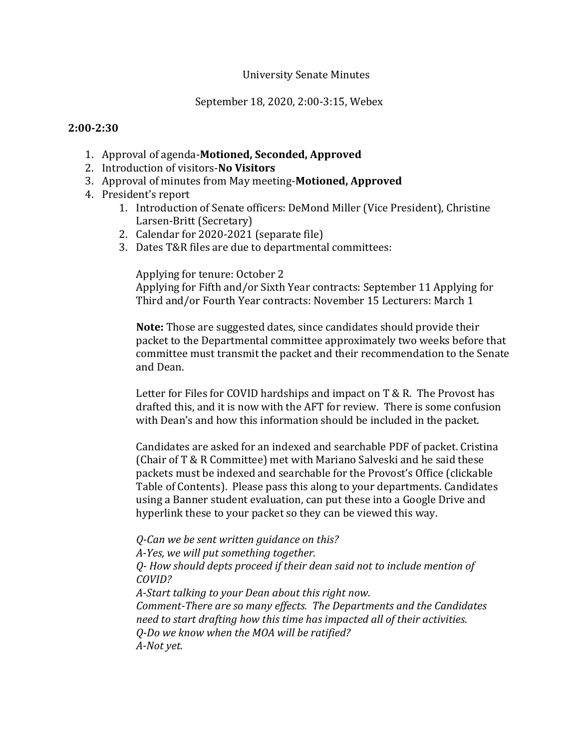## University Senate Minutes

September 18, 2020, 2:00-3:15, Webex

## **2:00-2:30**

- 1. Approval of agenda-**Motioned, Seconded, Approved**
- 2. Introduction of visitors-**No Visitors**
- 3. Approval of minutes from May meeting-**Motioned, Approved**
- 4. President's report
	- 1. Introduction of Senate officers: DeMond Miller (Vice President), Christine Larsen-Britt (Secretary)
	- 2. Calendar for 2020-2021 (separate file)
	- 3. Dates T&R files are due to departmental committees:

Applying for tenure: October 2

Applying for Fifth and/or Sixth Year contracts: September 11 Applying for Third and/or Fourth Year contracts: November 15 Lecturers: March 1

**Note:** Those are suggested dates, since candidates should provide their packet to the Departmental committee approximately two weeks before that committee must transmit the packet and their recommendation to the Senate and Dean.

Letter for Files for COVID hardships and impact on T & R. The Provost has drafted this, and it is now with the AFT for review. There is some confusion with Dean's and how this information should be included in the packet.

Candidates are asked for an indexed and searchable PDF of packet. Cristina (Chair of T & R Committee) met with Mariano Salveski and he said these packets must be indexed and searchable for the Provost's Office (clickable Table of Contents). Please pass this along to your departments. Candidates using a Banner student evaluation, can put these into a Google Drive and hyperlink these to your packet so they can be viewed this way.

*Q-Can we be sent written guidance on this?* 

*A-Yes, we will put something together.* 

*Q- How should depts proceed if their dean said not to include mention of COVID?*

*A-Start talking to your Dean about this right now.* 

*Comment-There are so many effects. The Departments and the Candidates need to start drafting how this time has impacted all of their activities. Q-Do we know when the MOA will be ratified? A-Not yet.*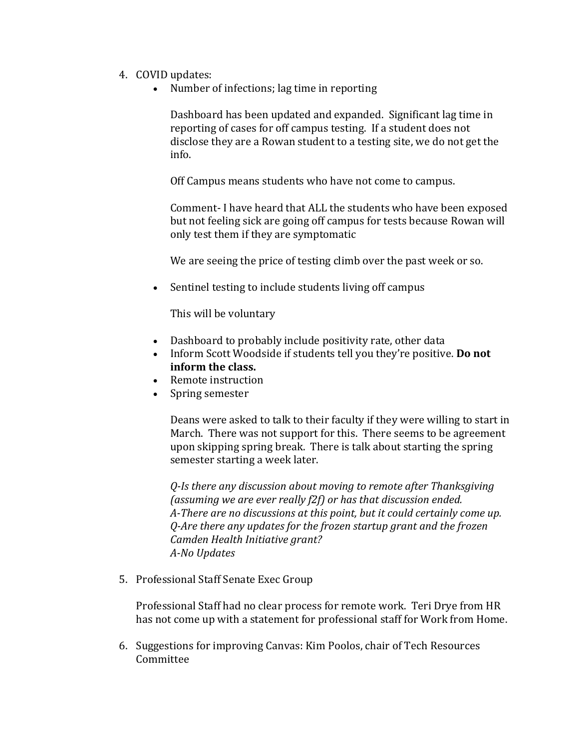- 4. COVID updates:
	- Number of infections; lag time in reporting

Dashboard has been updated and expanded. Significant lag time in reporting of cases for off campus testing. If a student does not disclose they are a Rowan student to a testing site, we do not get the info.

Off Campus means students who have not come to campus.

Comment- I have heard that ALL the students who have been exposed but not feeling sick are going off campus for tests because Rowan will only test them if they are symptomatic

We are seeing the price of testing climb over the past week or so.

• Sentinel testing to include students living off campus

This will be voluntary

- Dashboard to probably include positivity rate, other data
- Inform Scott Woodside if students tell you they're positive. **Do not inform the class.**
- Remote instruction
- Spring semester

Deans were asked to talk to their faculty if they were willing to start in March. There was not support for this. There seems to be agreement upon skipping spring break. There is talk about starting the spring semester starting a week later.

*Q-Is there any discussion about moving to remote after Thanksgiving (assuming we are ever really f2f) or has that discussion ended. A-There are no discussions at this point, but it could certainly come up. Q-Are there any updates for the frozen startup grant and the frozen Camden Health Initiative grant? A-No Updates*

5. Professional Staff Senate Exec Group

Professional Staff had no clear process for remote work. Teri Drye from HR has not come up with a statement for professional staff for Work from Home.

6. Suggestions for improving Canvas: Kim Poolos, chair of Tech Resources Committee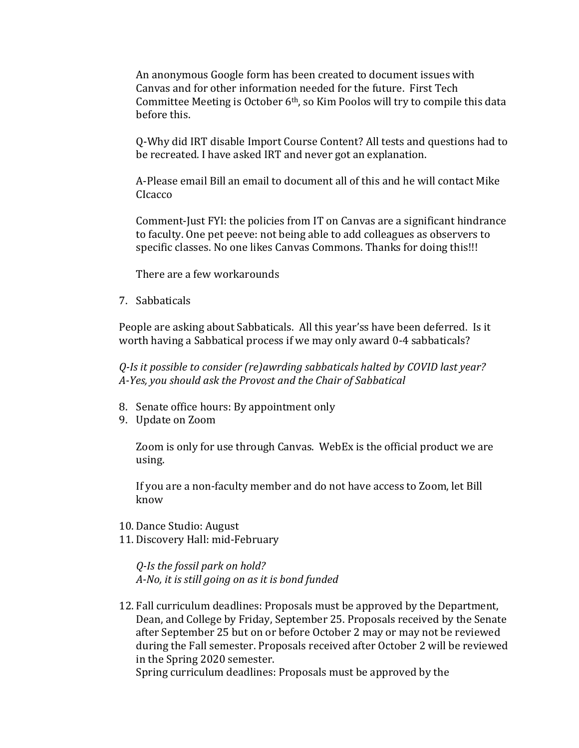An anonymous Google form has been created to document issues with Canvas and for other information needed for the future. First Tech Committee Meeting is October  $6<sup>th</sup>$ , so Kim Poolos will try to compile this data before this.

Q-Why did IRT disable Import Course Content? All tests and questions had to be recreated. I have asked IRT and never got an explanation.

A-Please email Bill an email to document all of this and he will contact Mike CIcacco

Comment-Just FYI: the policies from IT on Canvas are a significant hindrance to faculty. One pet peeve: not being able to add colleagues as observers to specific classes. No one likes Canvas Commons. Thanks for doing this!!!

There are a few workarounds

7. Sabbaticals

People are asking about Sabbaticals. All this year'ss have been deferred. Is it worth having a Sabbatical process if we may only award 0-4 sabbaticals?

*Q-Is it possible to consider (re)awrding sabbaticals halted by COVID last year? A-Yes, you should ask the Provost and the Chair of Sabbatical* 

- 8. Senate office hours: By appointment only
- 9. Update on Zoom

Zoom is only for use through Canvas. WebEx is the official product we are using.

If you are a non-faculty member and do not have access to Zoom, let Bill know

- 10. Dance Studio: August
- 11. Discovery Hall: mid-February

*Q-Is the fossil park on hold? A-No, it is still going on as it is bond funded*

12. Fall curriculum deadlines: Proposals must be approved by the Department, Dean, and College by Friday, September 25. Proposals received by the Senate after September 25 but on or before October 2 may or may not be reviewed during the Fall semester. Proposals received after October 2 will be reviewed in the Spring 2020 semester.

Spring curriculum deadlines: Proposals must be approved by the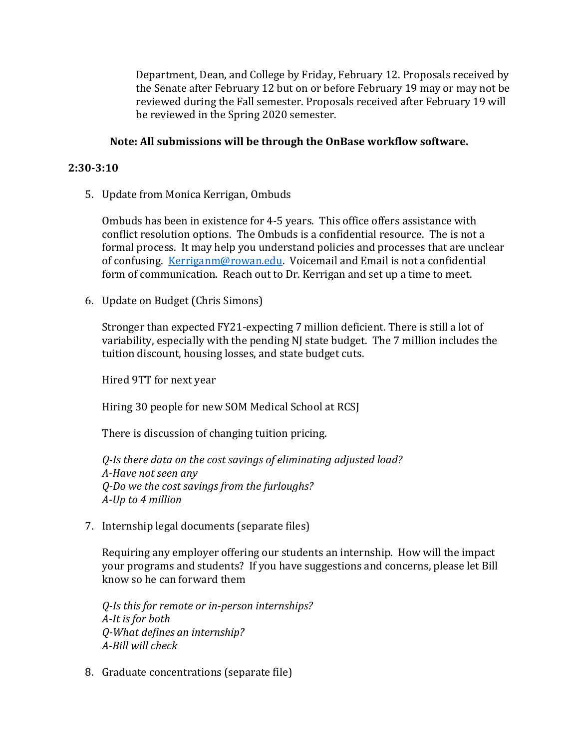Department, Dean, and College by Friday, February 12. Proposals received by the Senate after February 12 but on or before February 19 may or may not be reviewed during the Fall semester. Proposals received after February 19 will be reviewed in the Spring 2020 semester.

## **Note: All submissions will be through the OnBase workflow software.**

#### **2:30-3:10**

5. Update from Monica Kerrigan, Ombuds

Ombuds has been in existence for 4-5 years. This office offers assistance with conflict resolution options. The Ombuds is a confidential resource. The is not a formal process. It may help you understand policies and processes that are unclear of confusing. [Kerriganm@rowan.edu.](mailto:Kerriganm@rowan.edu) Voicemail and Email is not a confidential form of communication. Reach out to Dr. Kerrigan and set up a time to meet.

6. Update on Budget (Chris Simons)

Stronger than expected FY21-expecting 7 million deficient. There is still a lot of variability, especially with the pending NJ state budget. The 7 million includes the tuition discount, housing losses, and state budget cuts.

Hired 9TT for next year

Hiring 30 people for new SOM Medical School at RCSJ

There is discussion of changing tuition pricing.

*Q-Is there data on the cost savings of eliminating adjusted load? A-Have not seen any Q-Do we the cost savings from the furloughs? A-Up to 4 million*

7. Internship legal documents (separate files)

Requiring any employer offering our students an internship. How will the impact your programs and students? If you have suggestions and concerns, please let Bill know so he can forward them

*Q-Is this for remote or in-person internships? A-It is for both Q-What defines an internship? A-Bill will check*

8. Graduate concentrations (separate file)